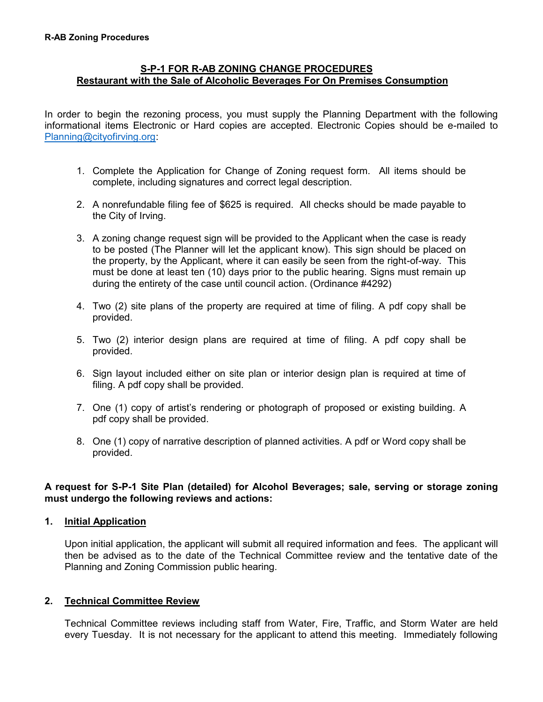# **S-P-1 FOR R-AB ZONING CHANGE PROCEDURES Restaurant with the Sale of Alcoholic Beverages For On Premises Consumption**

In order to begin the rezoning process, you must supply the Planning Department with the following informational items Electronic or Hard copies are accepted. Electronic Copies should be e-mailed to [Planning@cityofirving.org:](mailto:Planning@cityofirving.org)

- 1. Complete the Application for Change of Zoning request form. All items should be complete, including signatures and correct legal description.
- 2. A nonrefundable filing fee of \$625 is required. All checks should be made payable to the City of Irving.
- 3. A zoning change request sign will be provided to the Applicant when the case is ready to be posted (The Planner will let the applicant know). This sign should be placed on the property, by the Applicant, where it can easily be seen from the right-of-way. This must be done at least ten (10) days prior to the public hearing. Signs must remain up during the entirety of the case until council action. (Ordinance #4292)
- 4. Two (2) site plans of the property are required at time of filing. A pdf copy shall be provided.
- 5. Two (2) interior design plans are required at time of filing. A pdf copy shall be provided.
- 6. Sign layout included either on site plan or interior design plan is required at time of filing. A pdf copy shall be provided.
- 7. One (1) copy of artist's rendering or photograph of proposed or existing building. A pdf copy shall be provided.
- 8. One (1) copy of narrative description of planned activities. A pdf or Word copy shall be provided.

# **A request for S-P-1 Site Plan (detailed) for Alcohol Beverages; sale, serving or storage zoning must undergo the following reviews and actions:**

## **1. Initial Application**

Upon initial application, the applicant will submit all required information and fees. The applicant will then be advised as to the date of the Technical Committee review and the tentative date of the Planning and Zoning Commission public hearing.

# **2. Technical Committee Review**

Technical Committee reviews including staff from Water, Fire, Traffic, and Storm Water are held every Tuesday. It is not necessary for the applicant to attend this meeting. Immediately following